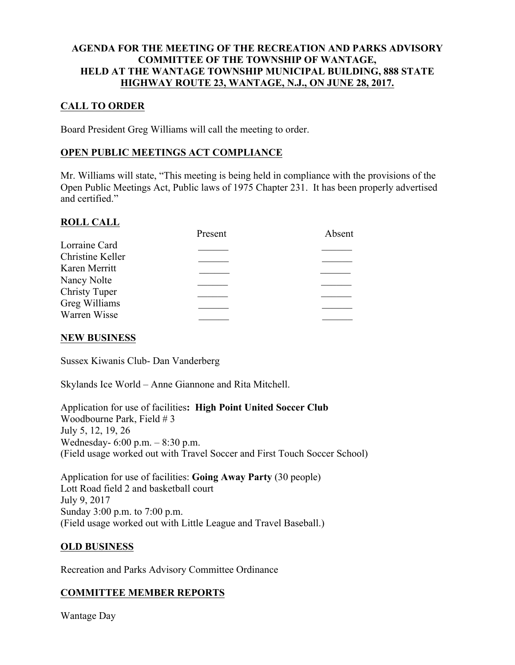#### AGENDA FOR THE MEETING OF THE RECREATION AND PARKS ADVISORY COMMITTEE OF THE TOWNSHIP OF WANTAGE, HELD AT THE WANTAGE TOWNSHIP MUNICIPAL BUILDING, 888 STATE HIGHWAY ROUTE 23, WANTAGE, N.J., ON JUNE 28, 2017.

## CALL TO ORDER

Board President Greg Williams will call the meeting to order.

### OPEN PUBLIC MEETINGS ACT COMPLIANCE

Mr. Williams will state, "This meeting is being held in compliance with the provisions of the Open Public Meetings Act, Public laws of 1975 Chapter 231. It has been properly advertised and certified."

#### ROLL CALL

|                      | Present | Absent |
|----------------------|---------|--------|
| Lorraine Card        |         |        |
| Christine Keller     |         |        |
| Karen Merritt        |         |        |
| Nancy Nolte          |         |        |
| <b>Christy Tuper</b> |         |        |
| Greg Williams        |         |        |
| Warren Wisse         |         |        |
|                      |         |        |

#### NEW BUSINESS

Sussex Kiwanis Club- Dan Vanderberg

Skylands Ice World – Anne Giannone and Rita Mitchell.

Application for use of facilities: High Point United Soccer Club Woodbourne Park, Field # 3 July 5, 12, 19, 26 Wednesday- 6:00 p.m. – 8:30 p.m. (Field usage worked out with Travel Soccer and First Touch Soccer School)

Application for use of facilities: Going Away Party (30 people) Lott Road field 2 and basketball court July 9, 2017 Sunday 3:00 p.m. to 7:00 p.m. (Field usage worked out with Little League and Travel Baseball.)

#### OLD BUSINESS

Recreation and Parks Advisory Committee Ordinance

### COMMITTEE MEMBER REPORTS

Wantage Day